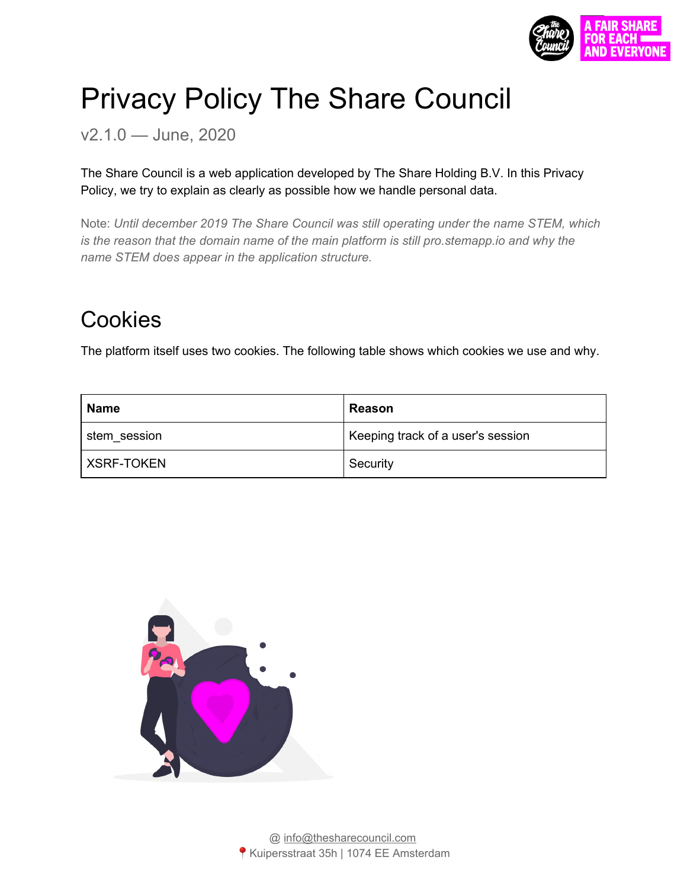

# Privacy Policy The Share Council

v2.1.0 — June, 2020

The Share Council is a web application developed by The Share Holding B.V. In this Privacy Policy, we try to explain as clearly as possible how we handle personal data.

Note: *Until december 2019 The Share Council was still operating under the name STEM, which is the reason that the domain name of the main platform is still pro.stemapp.io and why the name STEM does appear in the application structure.*

## Cookies

The platform itself uses two cookies. The following table shows which cookies we use and why.

| Name         | Reason                            |
|--------------|-----------------------------------|
| stem_session | Keeping track of a user's session |
| XSRF-TOKEN   | Security                          |

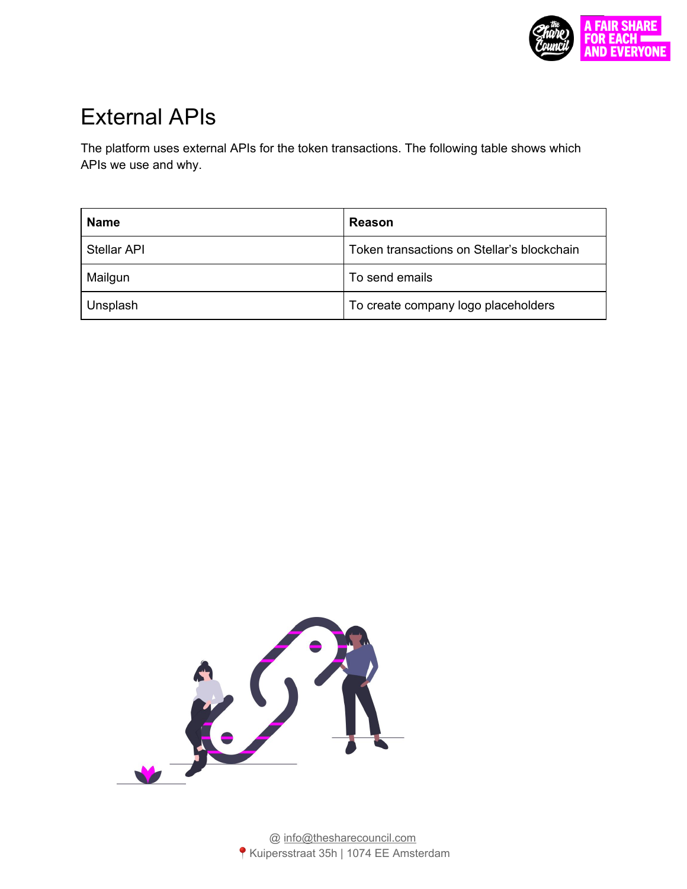

## External APIs

The platform uses external APIs for the token transactions. The following table shows which APIs we use and why.

| <b>Name</b> | Reason                                     |
|-------------|--------------------------------------------|
| Stellar API | Token transactions on Stellar's blockchain |
| Mailgun     | To send emails                             |
| Unsplash    | To create company logo placeholders        |

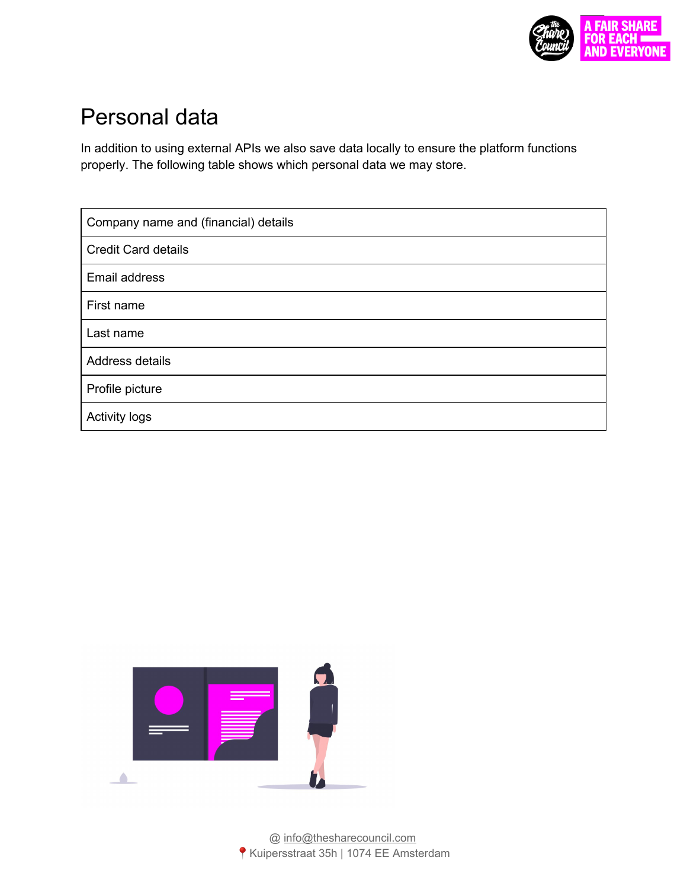

### Personal data

In addition to using external APIs we also save data locally to ensure the platform functions properly. The following table shows which personal data we may store.

| Company name and (financial) details |
|--------------------------------------|
| <b>Credit Card details</b>           |
| Email address                        |
| First name                           |
| Last name                            |
| Address details                      |
| Profile picture                      |
| <b>Activity logs</b>                 |